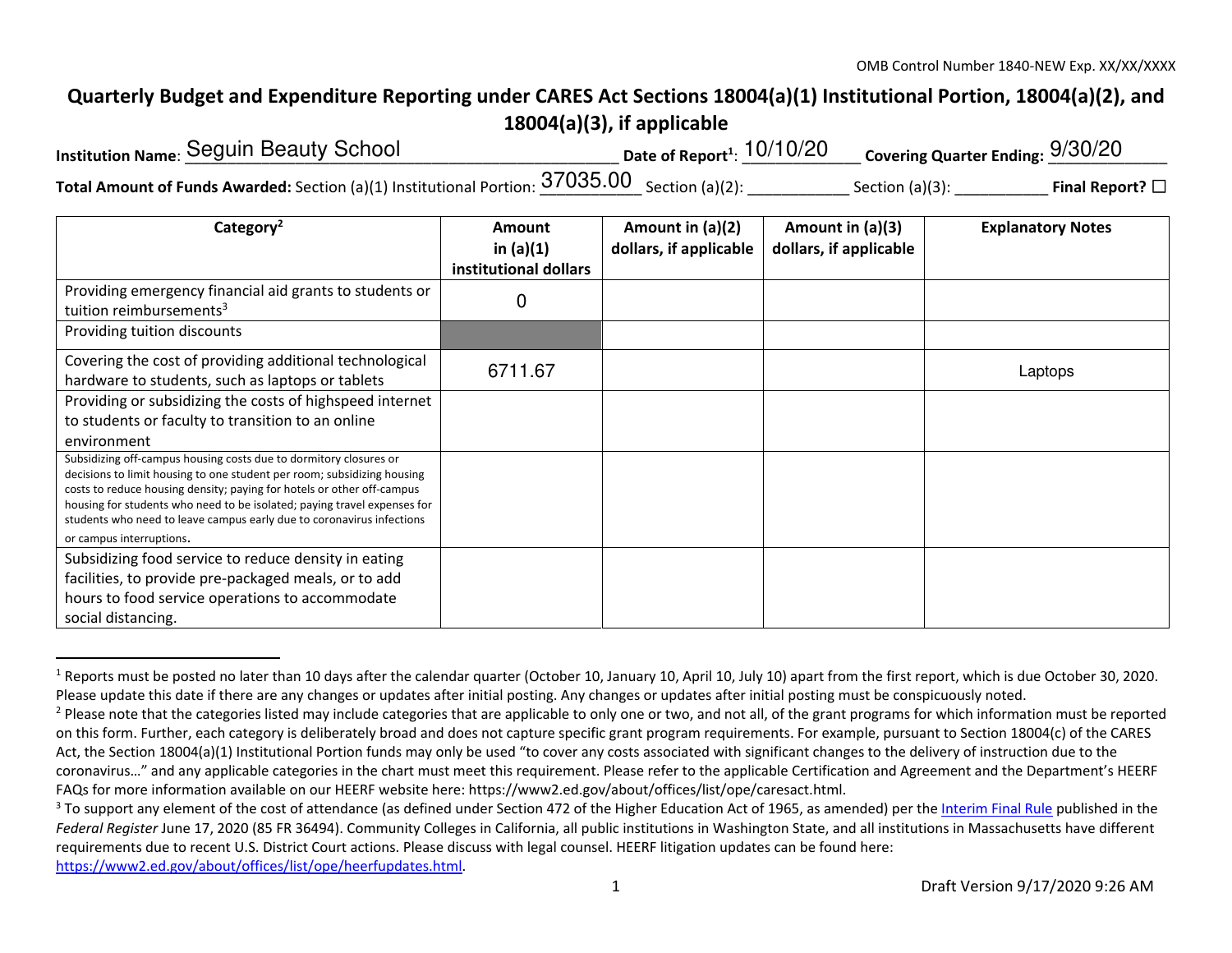## **Quarterly Budget and Expenditure Reporting under CARES Act Sections 18004(a)(1) Institutional Portion, 18004(a)(2), and 18004(a)(3), if applicable**

| <b>Institution Name: Seguin Beauty School</b>                                                               | Date of Report <sup>1</sup> : $10/10/20$ | Covering Quarter Ending: $9/30/20$ |                         |
|-------------------------------------------------------------------------------------------------------------|------------------------------------------|------------------------------------|-------------------------|
| Total Amount of Funds Awarded: Section (a)(1) Institutional Portion: $\underline{37035.00}$ Section (a)(2): |                                          | Section $(a)(3)$ :                 | Final Report? $\square$ |

| Category <sup>2</sup>                                                                                                                                                                                                                                                                                                                                                                                   | <b>Amount</b><br>in $(a)(1)$<br>institutional dollars | Amount in $(a)(2)$<br>dollars, if applicable | Amount in $(a)(3)$<br>dollars, if applicable | <b>Explanatory Notes</b> |
|---------------------------------------------------------------------------------------------------------------------------------------------------------------------------------------------------------------------------------------------------------------------------------------------------------------------------------------------------------------------------------------------------------|-------------------------------------------------------|----------------------------------------------|----------------------------------------------|--------------------------|
| Providing emergency financial aid grants to students or<br>tuition reimbursements <sup>3</sup>                                                                                                                                                                                                                                                                                                          | 0                                                     |                                              |                                              |                          |
| Providing tuition discounts                                                                                                                                                                                                                                                                                                                                                                             |                                                       |                                              |                                              |                          |
| Covering the cost of providing additional technological<br>hardware to students, such as laptops or tablets                                                                                                                                                                                                                                                                                             | 6711.67                                               |                                              |                                              | Laptops                  |
| Providing or subsidizing the costs of highspeed internet<br>to students or faculty to transition to an online<br>environment                                                                                                                                                                                                                                                                            |                                                       |                                              |                                              |                          |
| Subsidizing off-campus housing costs due to dormitory closures or<br>decisions to limit housing to one student per room; subsidizing housing<br>costs to reduce housing density; paying for hotels or other off-campus<br>housing for students who need to be isolated; paying travel expenses for<br>students who need to leave campus early due to coronavirus infections<br>or campus interruptions. |                                                       |                                              |                                              |                          |
| Subsidizing food service to reduce density in eating<br>facilities, to provide pre-packaged meals, or to add<br>hours to food service operations to accommodate<br>social distancing.                                                                                                                                                                                                                   |                                                       |                                              |                                              |                          |

<sup>&</sup>lt;sup>1</sup> Reports must be posted no later than 10 days after the calendar quarter (October 10, January 10, April 10, July 10) apart from the first report, which is due October 30, 2020. Please update this date if there are any changes or updates after initial posting. Any changes or updates after initial posting must be conspicuously noted.

https://www2.ed.gov/about/offices/list/ope/heerfupdates.html.

<sup>&</sup>lt;sup>2</sup> Please note that the categories listed may include categories that are applicable to only one or two, and not all, of the grant programs for which information must be reported on this form. Further, each category is deliberately broad and does not capture specific grant program requirements. For example, pursuant to Section 18004(c) of the CARES Act, the Section 18004(a)(1) Institutional Portion funds may only be used "to cover any costs associated with significant changes to the delivery of instruction due to the coronavirus…" and any applicable categories in the chart must meet this requirement. Please refer to the applicable Certification and Agreement and the Department's HEERF FAQs for more information available on our HEERF website here: https://www2.ed.gov/about/offices/list/ope/caresact.html.

<sup>&</sup>lt;sup>3</sup> To support any element of the cost of attendance (as defined under Section 472 of the Higher Education Act of 1965, as amended) per the Interim Final Rule published in the *Federal Register* June 17, 2020 (85 FR 36494). Community Colleges in California, all public institutions in Washington State, and all institutions in Massachusetts have different requirements due to recent U.S. District Court actions. Please discuss with legal counsel. HEERF litigation updates can be found here: